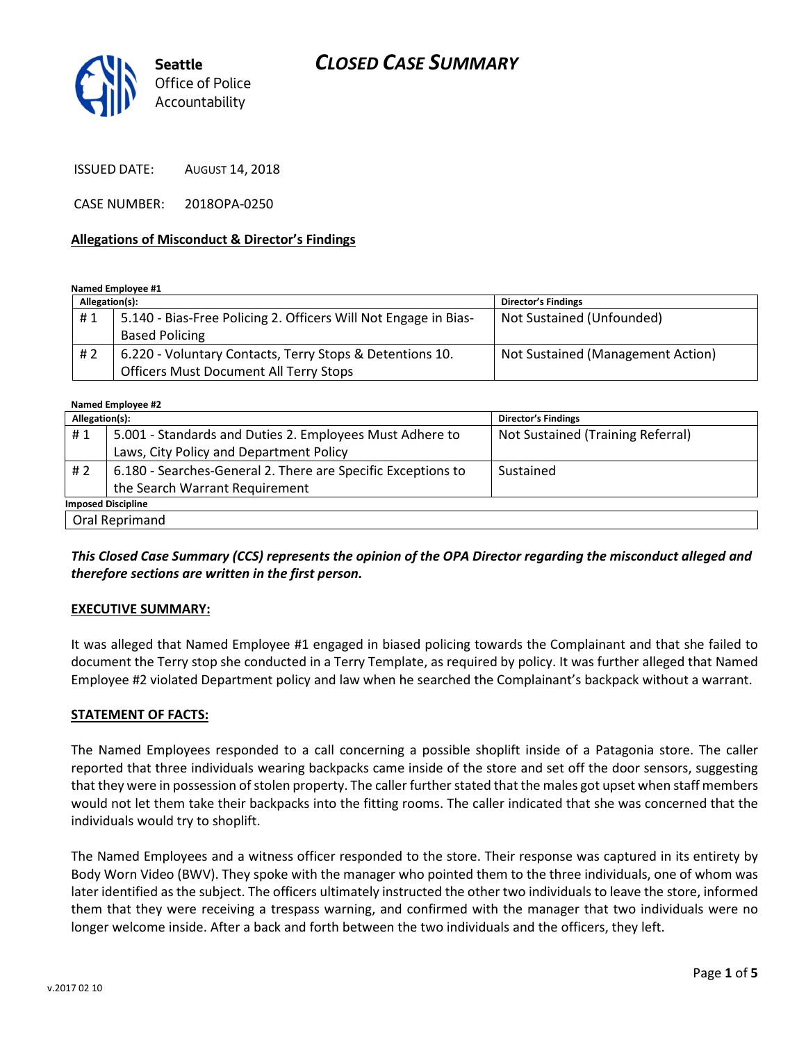



ISSUED DATE: AUGUST 14, 2018

CASE NUMBER: 2018OPA-0250

#### Allegations of Misconduct & Director's Findings

Named Employee #1

| Allegation(s): |                                                                 | <b>Director's Findings</b>        |
|----------------|-----------------------------------------------------------------|-----------------------------------|
| #1             | 5.140 - Bias-Free Policing 2. Officers Will Not Engage in Bias- | Not Sustained (Unfounded)         |
|                | <b>Based Policing</b>                                           |                                   |
| #2             | 6.220 - Voluntary Contacts, Terry Stops & Detentions 10.        | Not Sustained (Management Action) |
|                | <b>Officers Must Document All Terry Stops</b>                   |                                   |

| Named Employee #2         |                                                              |                                   |  |
|---------------------------|--------------------------------------------------------------|-----------------------------------|--|
| Allegation(s):            |                                                              | <b>Director's Findings</b>        |  |
| #1                        | 5.001 - Standards and Duties 2. Employees Must Adhere to     | Not Sustained (Training Referral) |  |
|                           | Laws, City Policy and Department Policy                      |                                   |  |
| #2                        | 6.180 - Searches-General 2. There are Specific Exceptions to | Sustained                         |  |
|                           | the Search Warrant Requirement                               |                                   |  |
| <b>Imposed Discipline</b> |                                                              |                                   |  |
| Oral Reprimand            |                                                              |                                   |  |

This Closed Case Summary (CCS) represents the opinion of the OPA Director regarding the misconduct alleged and therefore sections are written in the first person.

#### EXECUTIVE SUMMARY:

It was alleged that Named Employee #1 engaged in biased policing towards the Complainant and that she failed to document the Terry stop she conducted in a Terry Template, as required by policy. It was further alleged that Named Employee #2 violated Department policy and law when he searched the Complainant's backpack without a warrant.

#### STATEMENT OF FACTS:

The Named Employees responded to a call concerning a possible shoplift inside of a Patagonia store. The caller reported that three individuals wearing backpacks came inside of the store and set off the door sensors, suggesting that they were in possession of stolen property. The caller further stated that the males got upset when staff members would not let them take their backpacks into the fitting rooms. The caller indicated that she was concerned that the individuals would try to shoplift.

The Named Employees and a witness officer responded to the store. Their response was captured in its entirety by Body Worn Video (BWV). They spoke with the manager who pointed them to the three individuals, one of whom was later identified as the subject. The officers ultimately instructed the other two individuals to leave the store, informed them that they were receiving a trespass warning, and confirmed with the manager that two individuals were no longer welcome inside. After a back and forth between the two individuals and the officers, they left.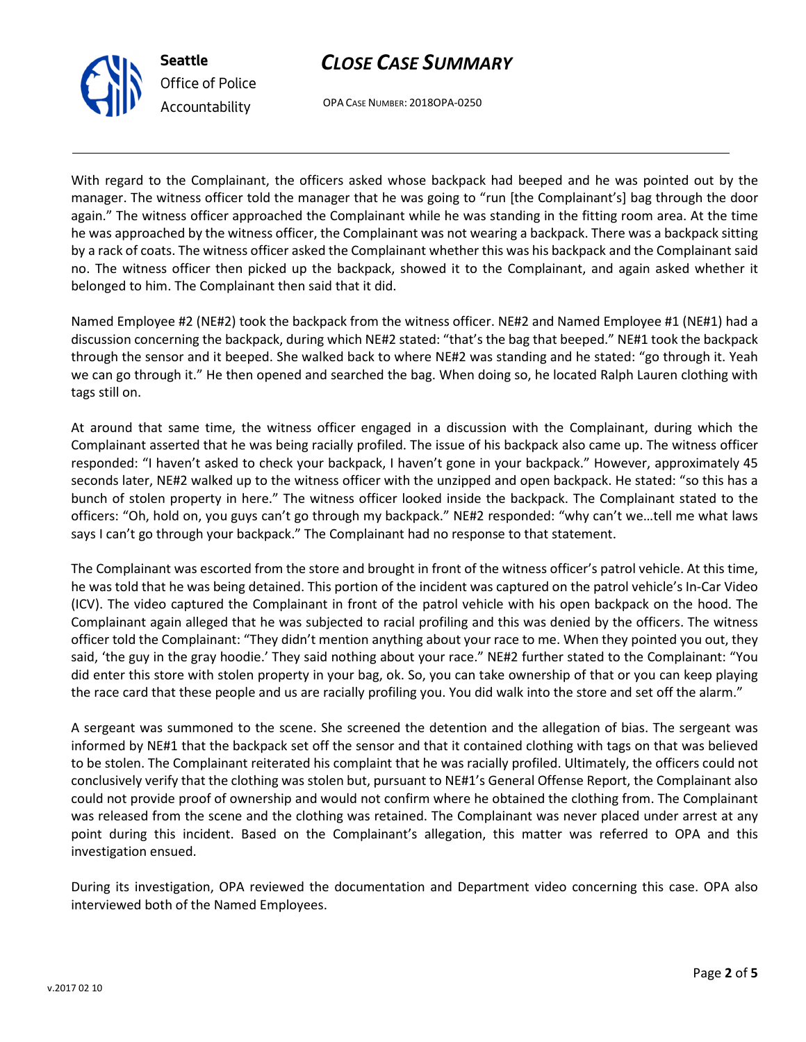

OPA CASE NUMBER: 2018OPA-0250

With regard to the Complainant, the officers asked whose backpack had beeped and he was pointed out by the manager. The witness officer told the manager that he was going to "run [the Complainant's] bag through the door again." The witness officer approached the Complainant while he was standing in the fitting room area. At the time he was approached by the witness officer, the Complainant was not wearing a backpack. There was a backpack sitting by a rack of coats. The witness officer asked the Complainant whether this was his backpack and the Complainant said no. The witness officer then picked up the backpack, showed it to the Complainant, and again asked whether it belonged to him. The Complainant then said that it did.

Named Employee #2 (NE#2) took the backpack from the witness officer. NE#2 and Named Employee #1 (NE#1) had a discussion concerning the backpack, during which NE#2 stated: "that's the bag that beeped." NE#1 took the backpack through the sensor and it beeped. She walked back to where NE#2 was standing and he stated: "go through it. Yeah we can go through it." He then opened and searched the bag. When doing so, he located Ralph Lauren clothing with tags still on.

At around that same time, the witness officer engaged in a discussion with the Complainant, during which the Complainant asserted that he was being racially profiled. The issue of his backpack also came up. The witness officer responded: "I haven't asked to check your backpack, I haven't gone in your backpack." However, approximately 45 seconds later, NE#2 walked up to the witness officer with the unzipped and open backpack. He stated: "so this has a bunch of stolen property in here." The witness officer looked inside the backpack. The Complainant stated to the officers: "Oh, hold on, you guys can't go through my backpack." NE#2 responded: "why can't we…tell me what laws says I can't go through your backpack." The Complainant had no response to that statement.

The Complainant was escorted from the store and brought in front of the witness officer's patrol vehicle. At this time, he was told that he was being detained. This portion of the incident was captured on the patrol vehicle's In-Car Video (ICV). The video captured the Complainant in front of the patrol vehicle with his open backpack on the hood. The Complainant again alleged that he was subjected to racial profiling and this was denied by the officers. The witness officer told the Complainant: "They didn't mention anything about your race to me. When they pointed you out, they said, 'the guy in the gray hoodie.' They said nothing about your race." NE#2 further stated to the Complainant: "You did enter this store with stolen property in your bag, ok. So, you can take ownership of that or you can keep playing the race card that these people and us are racially profiling you. You did walk into the store and set off the alarm."

A sergeant was summoned to the scene. She screened the detention and the allegation of bias. The sergeant was informed by NE#1 that the backpack set off the sensor and that it contained clothing with tags on that was believed to be stolen. The Complainant reiterated his complaint that he was racially profiled. Ultimately, the officers could not conclusively verify that the clothing was stolen but, pursuant to NE#1's General Offense Report, the Complainant also could not provide proof of ownership and would not confirm where he obtained the clothing from. The Complainant was released from the scene and the clothing was retained. The Complainant was never placed under arrest at any point during this incident. Based on the Complainant's allegation, this matter was referred to OPA and this investigation ensued.

During its investigation, OPA reviewed the documentation and Department video concerning this case. OPA also interviewed both of the Named Employees.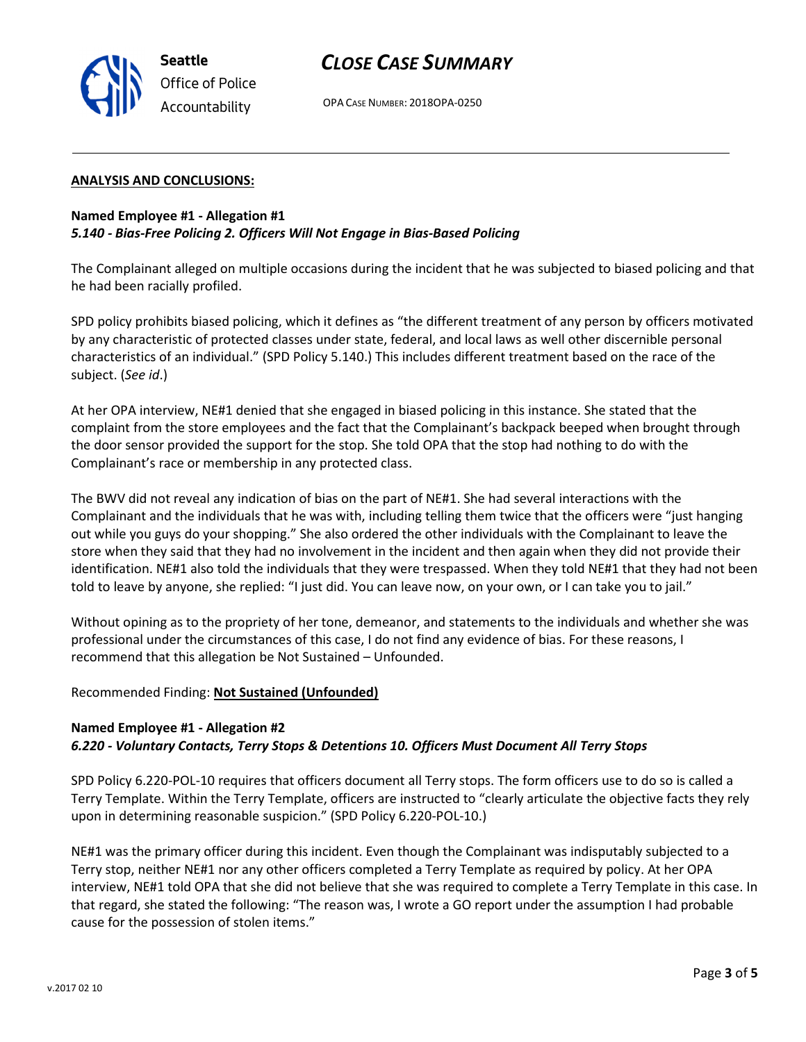

OPA CASE NUMBER: 2018OPA-0250

#### ANALYSIS AND CONCLUSIONS:

#### Named Employee #1 - Allegation #1 5.140 - Bias-Free Policing 2. Officers Will Not Engage in Bias-Based Policing

The Complainant alleged on multiple occasions during the incident that he was subjected to biased policing and that he had been racially profiled.

SPD policy prohibits biased policing, which it defines as "the different treatment of any person by officers motivated by any characteristic of protected classes under state, federal, and local laws as well other discernible personal characteristics of an individual." (SPD Policy 5.140.) This includes different treatment based on the race of the subject. (See id.)

At her OPA interview, NE#1 denied that she engaged in biased policing in this instance. She stated that the complaint from the store employees and the fact that the Complainant's backpack beeped when brought through the door sensor provided the support for the stop. She told OPA that the stop had nothing to do with the Complainant's race or membership in any protected class.

The BWV did not reveal any indication of bias on the part of NE#1. She had several interactions with the Complainant and the individuals that he was with, including telling them twice that the officers were "just hanging out while you guys do your shopping." She also ordered the other individuals with the Complainant to leave the store when they said that they had no involvement in the incident and then again when they did not provide their identification. NE#1 also told the individuals that they were trespassed. When they told NE#1 that they had not been told to leave by anyone, she replied: "I just did. You can leave now, on your own, or I can take you to jail."

Without opining as to the propriety of her tone, demeanor, and statements to the individuals and whether she was professional under the circumstances of this case, I do not find any evidence of bias. For these reasons, I recommend that this allegation be Not Sustained – Unfounded.

### Recommended Finding: Not Sustained (Unfounded)

### Named Employee #1 - Allegation #2 6.220 - Voluntary Contacts, Terry Stops & Detentions 10. Officers Must Document All Terry Stops

SPD Policy 6.220-POL-10 requires that officers document all Terry stops. The form officers use to do so is called a Terry Template. Within the Terry Template, officers are instructed to "clearly articulate the objective facts they rely upon in determining reasonable suspicion." (SPD Policy 6.220-POL-10.)

NE#1 was the primary officer during this incident. Even though the Complainant was indisputably subjected to a Terry stop, neither NE#1 nor any other officers completed a Terry Template as required by policy. At her OPA interview, NE#1 told OPA that she did not believe that she was required to complete a Terry Template in this case. In that regard, she stated the following: "The reason was, I wrote a GO report under the assumption I had probable cause for the possession of stolen items."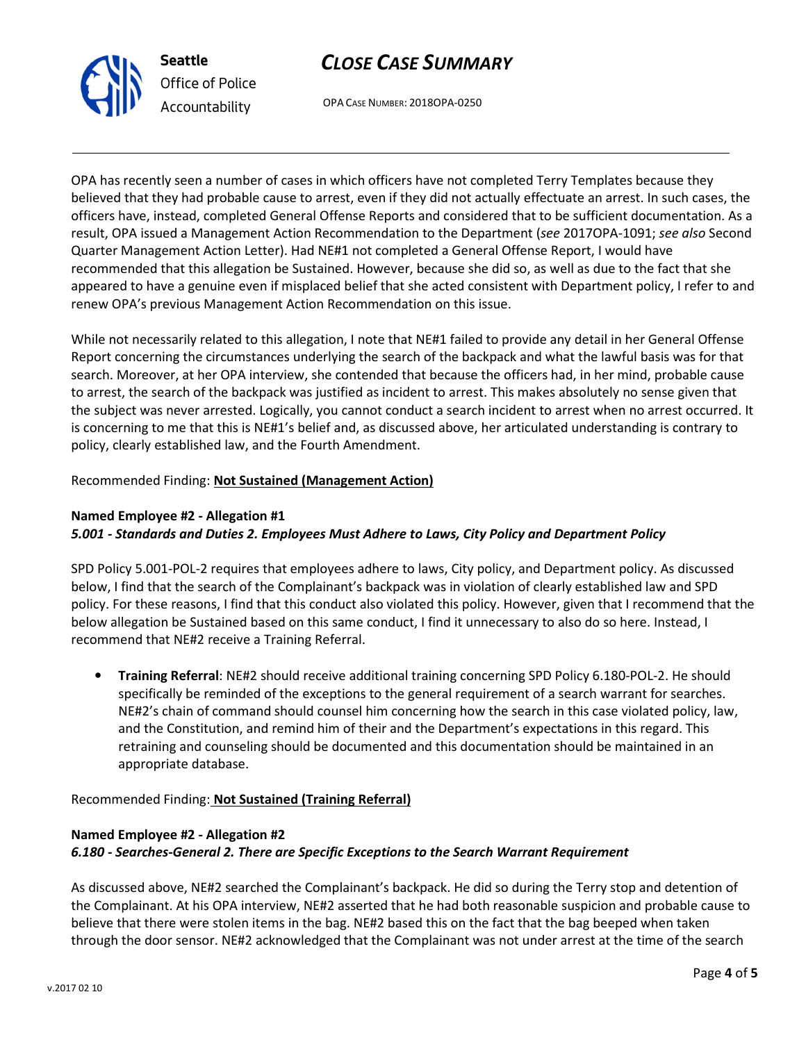

OPA CASE NUMBER: 2018OPA-0250

OPA has recently seen a number of cases in which officers have not completed Terry Templates because they believed that they had probable cause to arrest, even if they did not actually effectuate an arrest. In such cases, the officers have, instead, completed General Offense Reports and considered that to be sufficient documentation. As a result, OPA issued a Management Action Recommendation to the Department (see 2017OPA-1091; see also Second Quarter Management Action Letter). Had NE#1 not completed a General Offense Report, I would have recommended that this allegation be Sustained. However, because she did so, as well as due to the fact that she appeared to have a genuine even if misplaced belief that she acted consistent with Department policy, I refer to and renew OPA's previous Management Action Recommendation on this issue.

While not necessarily related to this allegation, I note that NE#1 failed to provide any detail in her General Offense Report concerning the circumstances underlying the search of the backpack and what the lawful basis was for that search. Moreover, at her OPA interview, she contended that because the officers had, in her mind, probable cause to arrest, the search of the backpack was justified as incident to arrest. This makes absolutely no sense given that the subject was never arrested. Logically, you cannot conduct a search incident to arrest when no arrest occurred. It is concerning to me that this is NE#1's belief and, as discussed above, her articulated understanding is contrary to policy, clearly established law, and the Fourth Amendment.

### Recommended Finding: Not Sustained (Management Action)

### Named Employee #2 - Allegation #1 5.001 - Standards and Duties 2. Employees Must Adhere to Laws, City Policy and Department Policy

SPD Policy 5.001-POL-2 requires that employees adhere to laws, City policy, and Department policy. As discussed below, I find that the search of the Complainant's backpack was in violation of clearly established law and SPD policy. For these reasons, I find that this conduct also violated this policy. However, given that I recommend that the below allegation be Sustained based on this same conduct, I find it unnecessary to also do so here. Instead, I recommend that NE#2 receive a Training Referral.

• Training Referral: NE#2 should receive additional training concerning SPD Policy 6.180-POL-2. He should specifically be reminded of the exceptions to the general requirement of a search warrant for searches. NE#2's chain of command should counsel him concerning how the search in this case violated policy, law, and the Constitution, and remind him of their and the Department's expectations in this regard. This retraining and counseling should be documented and this documentation should be maintained in an appropriate database.

Recommended Finding: Not Sustained (Training Referral)

### Named Employee #2 - Allegation #2 6.180 - Searches-General 2. There are Specific Exceptions to the Search Warrant Requirement

As discussed above, NE#2 searched the Complainant's backpack. He did so during the Terry stop and detention of the Complainant. At his OPA interview, NE#2 asserted that he had both reasonable suspicion and probable cause to believe that there were stolen items in the bag. NE#2 based this on the fact that the bag beeped when taken through the door sensor. NE#2 acknowledged that the Complainant was not under arrest at the time of the search